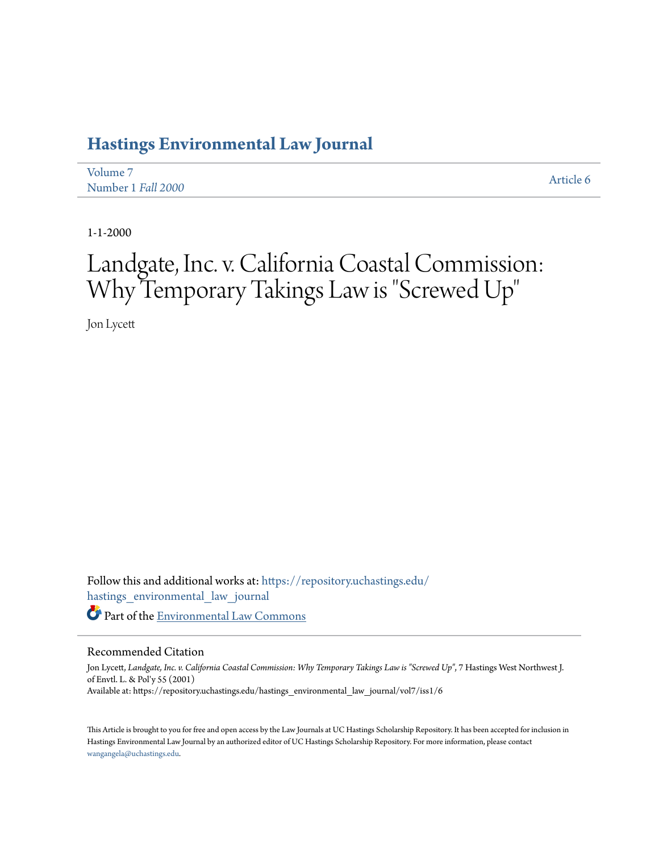### **[Hastings Environmental Law Journal](https://repository.uchastings.edu/hastings_environmental_law_journal?utm_source=repository.uchastings.edu%2Fhastings_environmental_law_journal%2Fvol7%2Fiss1%2F6&utm_medium=PDF&utm_campaign=PDFCoverPages)**

| Volume 7           | Article 6 |
|--------------------|-----------|
| Number 1 Fall 2000 |           |

1-1-2000

# Landgate, Inc. v. California Coastal Commission: Why Temporary Takings Law is "Screwed Up "

Jon Lycett

Follow this and additional works at: [https://repository.uchastings.edu/](https://repository.uchastings.edu/hastings_environmental_law_journal?utm_source=repository.uchastings.edu%2Fhastings_environmental_law_journal%2Fvol7%2Fiss1%2F6&utm_medium=PDF&utm_campaign=PDFCoverPages) [hastings\\_environmental\\_law\\_journal](https://repository.uchastings.edu/hastings_environmental_law_journal?utm_source=repository.uchastings.edu%2Fhastings_environmental_law_journal%2Fvol7%2Fiss1%2F6&utm_medium=PDF&utm_campaign=PDFCoverPages) Part of the [Environmental Law Commons](http://network.bepress.com/hgg/discipline/599?utm_source=repository.uchastings.edu%2Fhastings_environmental_law_journal%2Fvol7%2Fiss1%2F6&utm_medium=PDF&utm_campaign=PDFCoverPages)

#### Recommended Citation

Jon Lycett, *Landgate, Inc. v. California Coastal Commission: Why Temporary Takings Law is "Screwed Up"*, 7 Hastings West Northwest J. of Envtl. L. & Pol'y 55 (2001) Available at: https://repository.uchastings.edu/hastings\_environmental\_law\_journal/vol7/iss1/6

This Article is brought to you for free and open access by the Law Journals at UC Hastings Scholarship Repository. It has been accepted for inclusion in Hastings Environmental Law Journal by an authorized editor of UC Hastings Scholarship Repository. For more information, please contact [wangangela@uchastings.edu](mailto:wangangela@uchastings.edu).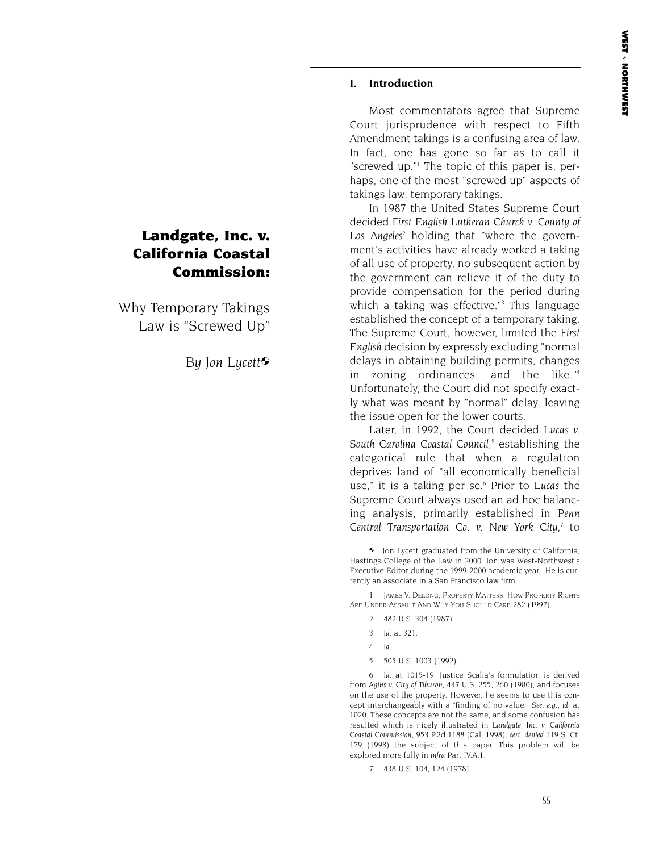#### **I. Introduction**

Most commentators agree that Supreme Court jurisprudence with respect to Fifth Amendment takings is a confusing area of law. In fact, one has gone so far as to call it "screwed up."1 The topic of this paper is, perhaps, one of the most "screwed up" aspects of takings law, temporary takings.

In 1987 the United States Supreme Court decided *First English Lutheran Church v. County of* Los Angeles<sup>2</sup> holding that "where the government's activities have already worked a taking of all use of property, no subsequent action by the government can relieve it of the duty to provide compensation for the period during which a taking was effective."<sup>3</sup> This language established the concept of a temporary taking. The Supreme Court, however, limited the *First English* decision by expressly excluding "normal delays in obtaining building permits, changes in zoning ordinances, and the like."4 Unfortunately, the Court did not specify exactly what was meant by "normal" delay, leaving the issue open for the lower courts.

Later, in 1992, the Court decided *Lucas v. South Carolina Coastal Council,5* establishing the categorical rule that when a regulation deprives land of "all economically beneficial use," it is a taking per se.6 Prior to *Lucas* the Supreme Court always used an ad hoc balancing analysis, primarily established in *Penn Central Transportation Co. v. New York City,7* to

 Jon Lycett graduated from the University of California, Hastings College of the Law in 2000. Jon was West-Northwest's Executive Editor during the 1999-2000 academic year. He is currently an associate in a San Francisco law firm.

1. JAMES V. DELONG, PROPERTY MATTERS: HOW PROPERTY RIGHTS ARE UNDER ASSAULT AND WHY YOU SHOULD CARE 282 (1997).

- 2. 482 U.S. 304 (1987).
- 3. *Id.* at 321.
- 4. *Id.*
- 5. 505 U.S. 1003 (1992).

6. *Id*. at 1015-19. Justice Scalia's formulation is derived from *Agins v. City of Tiburon,* 447 U.S. 255, 260 (1980), and focuses on the use of the property. However, he seems to use this concept interchangeably with a "finding of no value." *See*, *e.g.*, *id*. at 1020. These concepts are not the same, and some confusion has resulted which is nicely illustrated in *Landgate, Inc. v. California Coastal Commission*, 953 P.2d 1188 (Cal. 1998), *cert. denied* 119 S. Ct. 179 (1998) the subject of this paper. This problem will be explored more fully in *infra* Part IV.A.1.

7. 438 U.S. 104, 124 (1978).

## **California Coastal Commission:** Why Temporary Takings

**Landgate, Inc. v.**

Law is "Screwed Up"

*By Jon Lycett*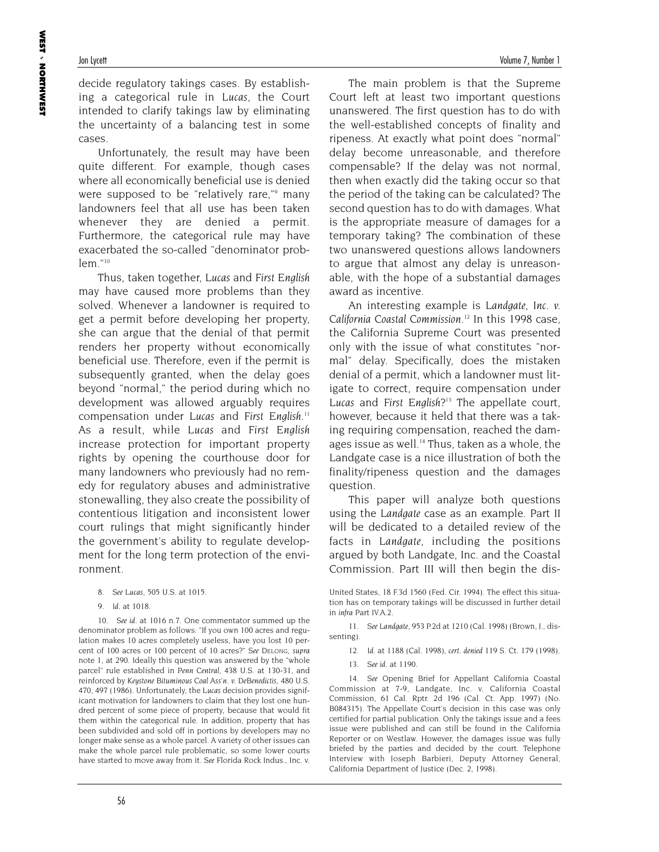decide regulatory takings cases. By establishing a categorical rule in *Lucas,* the Court intended to clarify takings law by eliminating the uncertainty of a balancing test in some cases.

Unfortunately, the result may have been quite different. For example, though cases where all economically beneficial use is denied were supposed to be "relatively rare,"<sup>9</sup> many landowners feel that all use has been taken whenever they are denied a permit. Furthermore, the categorical rule may have exacerbated the so-called "denominator prob $lem$ ."10

Thus, taken together, *Lucas* and *First English* may have caused more problems than they solved. Whenever a landowner is required to get a permit before developing her property, she can argue that the denial of that permit renders her property without economically beneficial use. Therefore, even if the permit is subsequently granted, when the delay goes beyond "normal," the period during which no development was allowed arguably requires compensation under *Lucas* and *First English*. 11 As a result, while *Lucas* and *First English* increase protection for important property rights by opening the courthouse door for many landowners who previously had no remedy for regulatory abuses and administrative stonewalling, they also create the possibility of contentious litigation and inconsistent lower court rulings that might significantly hinder the government's ability to regulate development for the long term protection of the environment.

- 8. *See Lucas,* 505 U.S. at 1015.
- 9. *Id*. at 1018.

10. *See id*. at 1016 n.7. One commentator summed up the denominator problem as follows: "If you own 100 acres and regulation makes 10 acres completely useless, have you lost 10 percent of 100 acres or 100 percent of 10 acres?" *See* DELONG, *supra* note 1, at 290. Ideally this question was answered by the "whole parcel" rule established in *Penn Central,* 438 U.S. at 130-31, and reinforced by *Keystone Bituminous Coal Ass'n. v. DeBenedictis,* 480 U.S. 470, 497 (1986). Unfortunately, the *Lucas* decision provides significant motivation for landowners to claim that they lost one hundred percent of some piece of property, because that would fit them within the categorical rule. In addition, property that has been subdivided and sold off in portions by developers may no longer make sense as a whole parcel. A variety of other issues can make the whole parcel rule problematic, so some lower courts have started to move away from it. *See* Florida Rock Indus., Inc. v.

The main problem is that the Supreme Court left at least two important questions unanswered. The first question has to do with the well-established concepts of finality and ripeness. At exactly what point does "normal" delay become unreasonable, and therefore compensable? If the delay was not normal, then when exactly did the taking occur so that the period of the taking can be calculated? The second question has to do with damages. What is the appropriate measure of damages for a temporary taking? The combination of these two unanswered questions allows landowners to argue that almost any delay is unreasonable, with the hope of a substantial damages award as incentive.

An interesting example is *Landgate, Inc. v. California Coastal Commission*. <sup>12</sup> In this 1998 case, the California Supreme Court was presented only with the issue of what constitutes "normal" delay. Specifically, does the mistaken denial of a permit, which a landowner must litigate to correct, require compensation under *Lucas* and *First English*?13 The appellate court, however, because it held that there was a taking requiring compensation, reached the damages issue as well.<sup>14</sup> Thus, taken as a whole, the Landgate case is a nice illustration of both the finality/ripeness question and the damages question.

This paper will analyze both questions using the *Landgate* case as an example. Part II will be dedicated to a detailed review of the facts in *Landgate,* including the positions argued by both Landgate, Inc. and the Coastal Commission. Part III will then begin the dis-

11. *See Landgate,* 953 P.2d at 1210 (Cal. 1998) (Brown, J., dissenting).

- 12. *Id.* at 1188 (Cal. 1998), *cert. denied* 119 S. Ct. 179 (1998).
- 13. *See id*. at 1190.

14. *See* Opening Brief for Appellant California Coastal Commission at 7-9, Landgate, Inc. v. California Coastal Commission, 61 Cal. Rptr. 2d 196 (Cal. Ct. App. 1997) (No. B084315). The Appellate Court's decision in this case was only certified for partial publication. Only the takings issue and a fees issue were published and can still be found in the California Reporter or on Westlaw. However, the damages issue was fully briefed by the parties and decided by the court. Telephone Interview with Joseph Barbieri, Deputy Attorney General, California Department of Justice (Dec. 2, 1998).

United States, 18 F.3d 1560 (Fed. Cir. 1994). The effect this situation has on temporary takings will be discussed in further detail in *infra* Part IV.A.2.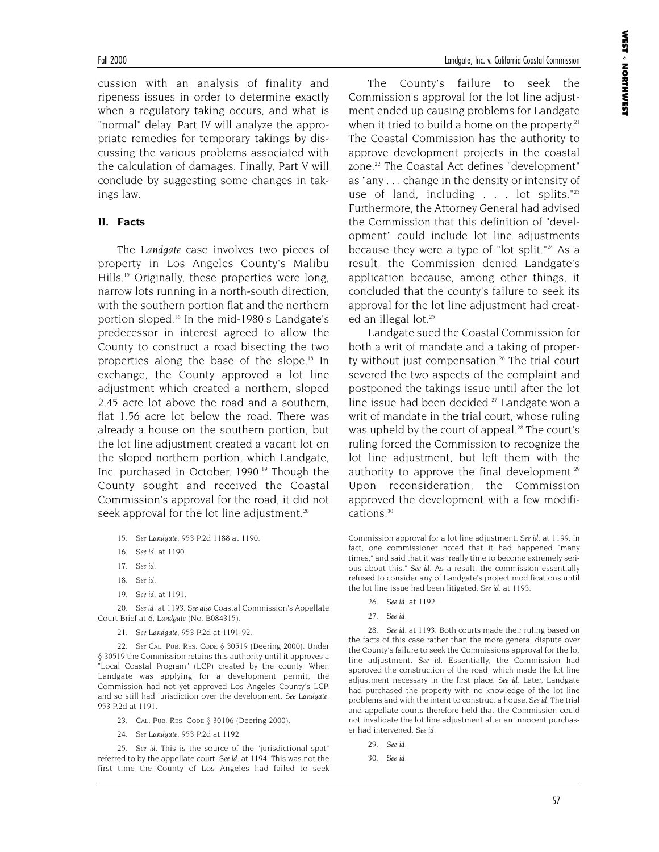cussion with an analysis of finality and ripeness issues in order to determine exactly when a regulatory taking occurs, and what is "normal" delay. Part IV will analyze the appropriate remedies for temporary takings by discussing the various problems associated with the calculation of damages. Finally, Part V will conclude by suggesting some changes in takings law.

#### **II. Facts**

The *Landgate* case involves two pieces of property in Los Angeles County's Malibu Hills.15 Originally, these properties were long, narrow lots running in a north-south direction, with the southern portion flat and the northern portion sloped.16 In the mid-1980's Landgate's predecessor in interest agreed to allow the County to construct a road bisecting the two properties along the base of the slope.<sup>18</sup> In exchange, the County approved a lot line adjustment which created a northern, sloped 2.45 acre lot above the road and a southern, flat 1.56 acre lot below the road. There was already a house on the southern portion, but the lot line adjustment created a vacant lot on the sloped northern portion, which Landgate, Inc. purchased in October, 1990.<sup>19</sup> Though the County sought and received the Coastal Commission's approval for the road, it did not seek approval for the lot line adjustment.<sup>20</sup>

- 15. *See Landgate,* 953 P.2d 1188 at 1190.
- 16. *See id*. at 1190.
- 17. *See id*.
- 18. *See id*.
- 19. *See id*. at 1191.

20. *See id*. at 1193. *See also* Coastal Commission's Appellate Court Brief at 6, *Landgate* (No. B084315).

21. *See Landgate,* 953 P.2d at 1191-92.

22. *See* CAL. PUB. RES. CODE § 30519 (Deering 2000). Under § 30519 the Commission retains this authority until it approves a "Local Coastal Program" (LCP) created by the county. When Landgate was applying for a development permit, the Commission had not yet approved Los Angeles County's LCP, and so still had jurisdiction over the development. *See Landgate,* 953 P.2d at 1191.

- 23. CAL. PUB. RES. CODE § 30106 (Deering 2000).
- 24. *See Landgate,* 953 P.2d at 1192.

25. *See id*. This is the source of the "jurisdictional spat" referred to by the appellate court. *See id.* at 1194. This was not the first time the County of Los Angeles had failed to seek **WEST**  NORTHWEST

The County's failure to seek the Commission's approval for the lot line adjustment ended up causing problems for Landgate when it tried to build a home on the property. $21$ The Coastal Commission has the authority to approve development projects in the coastal zone.<sup>22</sup> The Coastal Act defines "development" as "any . . . change in the density or intensity of use of land, including  $\ldots$  lot splits."<sup>23</sup> Furthermore, the Attorney General had advised the Commission that this definition of "development" could include lot line adjustments because they were a type of "lot split."<sup>24</sup> As a result, the Commission denied Landgate's application because, among other things, it concluded that the county's failure to seek its approval for the lot line adjustment had created an illegal lot.<sup>25</sup>

Landgate sued the Coastal Commission for both a writ of mandate and a taking of property without just compensation. $26$  The trial court severed the two aspects of the complaint and postponed the takings issue until after the lot line issue had been decided.<sup>27</sup> Landgate won a writ of mandate in the trial court, whose ruling was upheld by the court of appeal.<sup>28</sup> The court's ruling forced the Commission to recognize the lot line adjustment, but left them with the authority to approve the final development.<sup>29</sup> Upon reconsideration, the Commission approved the development with a few modifications.<sup>30</sup>

Commission approval for a lot line adjustment. *See id*. at 1199. In fact, one commissioner noted that it had happened "many times," and said that it was "really time to become extremely serious about this." *See id.* As a result, the commission essentially refused to consider any of Landgate's project modifications until the lot line issue had been litigated. *See id*. at 1193.

26. *See id*. at 1192.

28. *See id*. at 1193. Both courts made their ruling based on the facts of this case rather than the more general dispute over the County's failure to seek the Commissions approval for the lot line adjustment. *See id*. Essentially, the Commission had approved the construction of the road, which made the lot line adjustment necessary in the first place. *See id.* Later, Landgate had purchased the property with no knowledge of the lot line problems and with the intent to construct a house. *See id.* The trial and appellate courts therefore held that the Commission could not invalidate the lot line adjustment after an innocent purchaser had intervened. *See id*.

29. *See id*.

<sup>27.</sup> *See id*.

<sup>30.</sup> *See id*.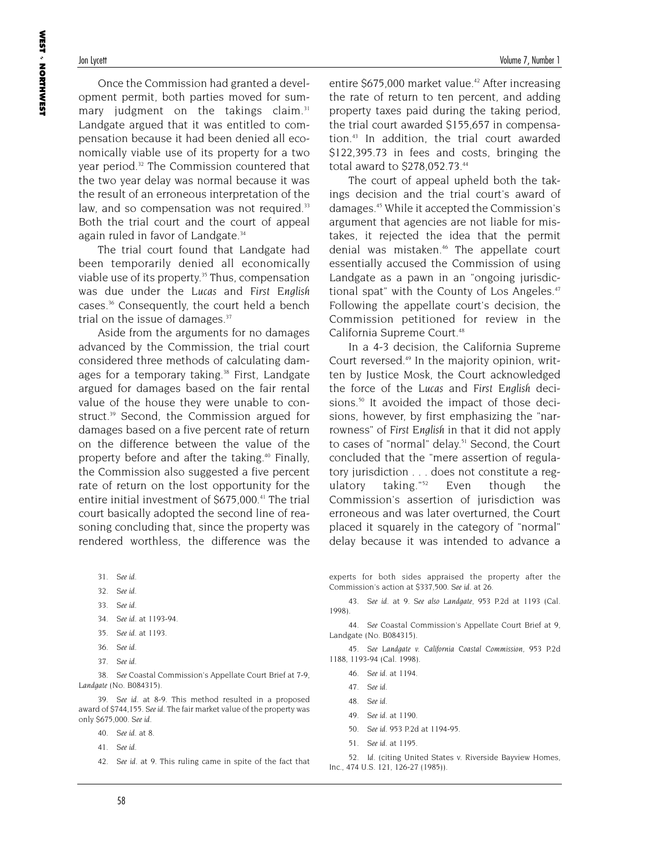Once the Commission had granted a development permit, both parties moved for summary judgment on the takings claim.<sup>31</sup> Landgate argued that it was entitled to compensation because it had been denied all economically viable use of its property for a two year period.<sup>32</sup> The Commission countered that the two year delay was normal because it was the result of an erroneous interpretation of the law, and so compensation was not required.<sup>33</sup> Both the trial court and the court of appeal again ruled in favor of Landgate.<sup>34</sup>

The trial court found that Landgate had been temporarily denied all economically viable use of its property.<sup>35</sup> Thus, compensation was due under the *Lucas* and *First English* cases.36 Consequently, the court held a bench trial on the issue of damages.<sup>37</sup>

Aside from the arguments for no damages advanced by the Commission, the trial court considered three methods of calculating damages for a temporary taking.<sup>38</sup> First, Landgate argued for damages based on the fair rental value of the house they were unable to construct.<sup>39</sup> Second, the Commission argued for damages based on a five percent rate of return on the difference between the value of the property before and after the taking.40 Finally, the Commission also suggested a five percent rate of return on the lost opportunity for the entire initial investment of \$675,000.41 The trial court basically adopted the second line of reasoning concluding that, since the property was rendered worthless, the difference was the

- 31. *See id*.
- 32. *See id*.
- 33. *See id*.
- 34. *See id*. at 1193-94.
- 35. *See id*. at 1193.
- 36. *See id*.
- 37. *See id*.

38. *See* Coastal Commission's Appellate Court Brief at 7-9, *Landgate* (No. B084315).

39. *See id*. at 8-9. This method resulted in a proposed award of \$744,155. *See id*. The fair market value of the property was only \$675,000. *See id*.

- 40. *See id*. at 8.
- 41. *See id*.
- 42. *See id*. at 9. This ruling came in spite of the fact that

entire  $$675,000$  market value.<sup>42</sup> After increasing the rate of return to ten percent, and adding property taxes paid during the taking period, the trial court awarded \$155,657 in compensation.43 In addition, the trial court awarded \$122,395.73 in fees and costs, bringing the total award to \$278,052.73.44

The court of appeal upheld both the takings decision and the trial court's award of damages.45 While it accepted the Commission's argument that agencies are not liable for mistakes, it rejected the idea that the permit denial was mistaken.<sup>46</sup> The appellate court essentially accused the Commission of using Landgate as a pawn in an "ongoing jurisdictional spat" with the County of Los Angeles.<sup>47</sup> Following the appellate court's decision, the Commission petitioned for review in the California Supreme Court.<sup>48</sup>

In a 4-3 decision, the California Supreme Court reversed.<sup>49</sup> In the majority opinion, written by Justice Mosk, the Court acknowledged the force of the *Lucas* and *First English* decisions.<sup>50</sup> It avoided the impact of those decisions, however, by first emphasizing the "narrowness" of *First English* in that it did not apply to cases of "normal" delay.<sup>51</sup> Second, the Court concluded that the "mere assertion of regulatory jurisdiction . . . does not constitute a regulatory taking."52 Even though the Commission's assertion of jurisdiction was erroneous and was later overturned, the Court placed it squarely in the category of "normal" delay because it was intended to advance a

experts for both sides appraised the property after the Commission's action at \$337,500. *See id*. at 26.

43. *See id*. at 9. *See also Landgate,* 953 P.2d at 1193 (Cal. 1998).

44. *See* Coastal Commission's Appellate Court Brief at 9, Landgate (No. B084315).

45. *See Landgate v. California Coastal Commission,* 953 P.2d 1188, 1193-94 (Cal. 1998).

- 46. *See id*. at 1194.
- 47. *See id*.
- 48. *See id*.
- 49. *See id*. at 1190.
- 50. *See id.* 953 P.2d at 1194-95.
- 51. *See id*. at 1195.

52. *Id*. (citing United States v. Riverside Bayview Homes, Inc., 474 U.S. 121, 126-27 (1985)).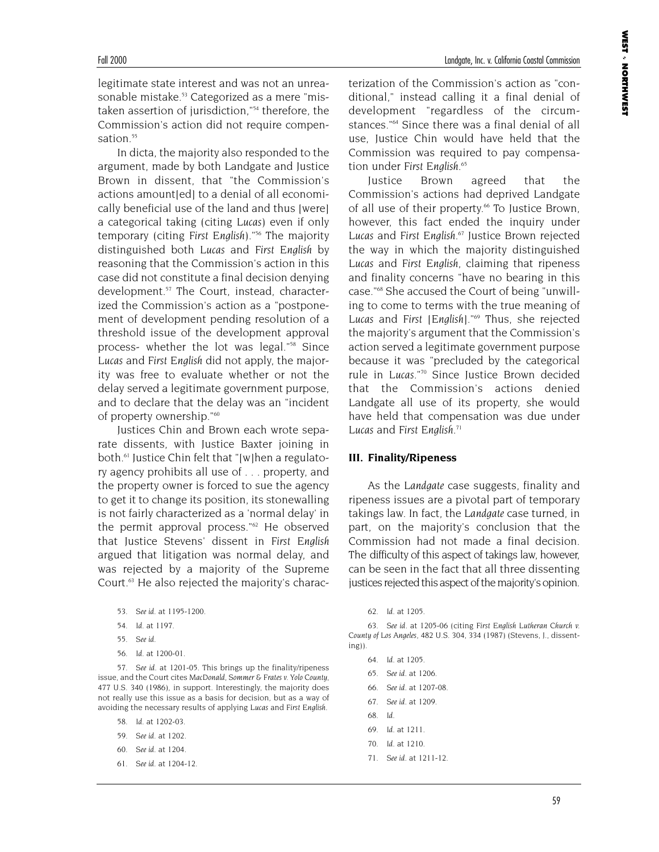legitimate state interest and was not an unreasonable mistake.<sup>53</sup> Categorized as a mere "mistaken assertion of jurisdiction,"54 therefore, the Commission's action did not require compensation.<sup>55</sup>

In dicta, the majority also responded to the argument, made by both Landgate and Justice Brown in dissent, that "the Commission's actions amount[ed] to a denial of all economically beneficial use of the land and thus [were] a categorical taking (citing *Lucas*) even if only temporary (citing *First English*)."56 The majority distinguished both *Lucas* and *First English* by reasoning that the Commission's action in this case did not constitute a final decision denying development.<sup>57</sup> The Court, instead, characterized the Commission's action as a "postponement of development pending resolution of a threshold issue of the development approval process- whether the lot was legal."<sup>58</sup> Since *Lucas* and *First English* did not apply, the majority was free to evaluate whether or not the delay served a legitimate government purpose, and to declare that the delay was an "incident of property ownership."60

Justices Chin and Brown each wrote separate dissents, with Justice Baxter joining in both.<sup>61</sup> Justice Chin felt that "[w]hen a regulatory agency prohibits all use of . . . property, and the property owner is forced to sue the agency to get it to change its position, its stonewalling is not fairly characterized as a 'normal delay' in the permit approval process."62 He observed that Justice Stevens' dissent in *First English* argued that litigation was normal delay, and was rejected by a majority of the Supreme Court.63 He also rejected the majority's charac-

- 53. *See id*. at 1195-1200.
- 54. *Id*. at 1197.
- 55. *See id*.
- 56. *Id*. at 1200-01.

57. *See id*. at 1201-05. This brings up the finality/ripeness issue, and the Court cites *MacDonald, Sommer & Frates v. Yolo County,* 477 U.S. 340 (1986), in support. Interestingly, the majority does not really use this issue as a basis for decision, but as a way of avoiding the necessary results of applying *Lucas* and *First English*.

58. *Id*. at 1202-03.

- 59. *See id*. at 1202.
- 60. *See id*. at 1204.
- 61. *See id*. at 1204-12.

terization of the Commission's action as "conditional," instead calling it a final denial of development "regardless of the circumstances."64 Since there was a final denial of all use, Justice Chin would have held that the Commission was required to pay compensation under *First English*. 65

Justice Brown agreed that the Commission's actions had deprived Landgate of all use of their property.<sup>66</sup> To Justice Brown, however, this fact ended the inquiry under *Lucas* and *First English*. <sup>67</sup> Justice Brown rejected the way in which the majority distinguished *Lucas* and *First English*, claiming that ripeness and finality concerns "have no bearing in this case."68 She accused the Court of being "unwilling to come to terms with the true meaning of *Lucas* and *First* [*English*]."69 Thus, she rejected the majority's argument that the Commission's action served a legitimate government purpose because it was "precluded by the categorical rule in *Lucas*."70 Since Justice Brown decided that the Commission's actions denied Landgate all use of its property, she would have held that compensation was due under *Lucas* and *First English*. 71

#### **III. Finality/Ripeness**

As the *Landgate* case suggests, finality and ripeness issues are a pivotal part of temporary takings law. In fact, the *Landgate* case turned, in part, on the majority's conclusion that the Commission had not made a final decision. The difficulty of this aspect of takings law, however, can be seen in the fact that all three dissenting justices rejected this aspect of the majority's opinion.

- 65. *See id*. at 1206.
- 66. *See id*. at 1207-08.
- 67. *See id*. at 1209.
- 68. *Id*.
- 69. *Id*. at 1211.
- 70. *Id*. at 1210.
- 71. *See id*. at 1211-12.

<sup>62.</sup> *Id*. at 1205.

<sup>63.</sup> *See id*. at 1205-06 (citing *First English Lutheran Church v. County of Los Angeles*, 482 U.S. 304, 334 (1987) (Stevens, J., dissenting)).

<sup>64.</sup> *Id*. at 1205.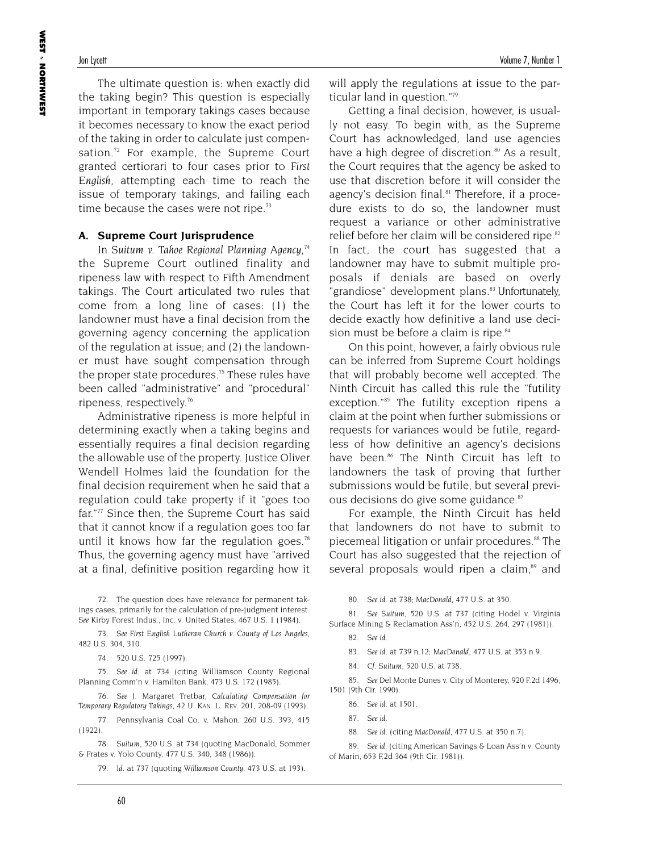The ultimate question is: when exactly did the taking begin? This question is especially important in temporary takings cases because it becomes necessary to know the exact period of the taking in order to calculate just compensation.<sup>72</sup> For example, the Supreme Court granted certiorari to four cases prior to *First English*, attempting each time to reach the issue of temporary takings, and failing each time because the cases were not ripe.<sup>73</sup>

#### **A. Supreme Court Jurisprudence**

In *Suitum v. Tahoe Regional Planning Agency,74* the Supreme Court outlined finality and ripeness law with respect to Fifth Amendment takings. The Court articulated two rules that come from a long line of cases: (1) the landowner must have a final decision from the governing agency concerning the application of the regulation at issue; and (2) the landowner must have sought compensation through the proper state procedures.<sup>75</sup> These rules have been called "administrative" and "procedural" ripeness, respectively.76

Administrative ripeness is more helpful in determining exactly when a taking begins and essentially requires a final decision regarding the allowable use of the property. Justice Oliver Wendell Holmes laid the foundation for the final decision requirement when he said that a regulation could take property if it "goes too far."<sup>77</sup> Since then, the Supreme Court has said that it cannot know if a regulation goes too far until it knows how far the regulation goes.<sup>78</sup> Thus, the governing agency must have "arrived at a final, definitive position regarding how it

72. The question does have relevance for permanent takings cases, primarily for the calculation of pre-judgment interest. *See* Kirby Forest Indus., Inc. v. United States, 467 U.S. 1 (1984).

73. *See First English Lutheran Church v. County of Los Angeles,* 482 U.S. 304, 310.

74. 520 U.S. 725 (1997).

75. *See id*. at 734 (citing Williamson County Regional Planning Comm'n v. Hamilton Bank, 473 U.S. 172 (1985).

76. *See* J. Margaret Tretbar, *Calculating Compensation for Temporary Regulatory Takings,* 42 U. KAN. L. REV. 201, 208-09 (1993).

77. Pennsylvania Coal Co. v. Mahon, 260 U.S. 393, 415 (1922).

78. *Suitum,* 520 U.S. at 734 (quoting MacDonald, Sommer & Frates v. Yolo County, 477 U.S. 340, 348 (1986)).

79. *Id*. at 737 (quoting *Williamson County,* 473 U.S. at 193).

will apply the regulations at issue to the particular land in question."79

Getting a final decision, however, is usually not easy. To begin with, as the Supreme Court has acknowledged, land use agencies have a high degree of discretion. $80$  As a result, the Court requires that the agency be asked to use that discretion before it will consider the agency's decision final.<sup>81</sup> Therefore, if a procedure exists to do so, the landowner must request a variance or other administrative relief before her claim will be considered ripe.<sup>82</sup> In fact, the court has suggested that a landowner may have to submit multiple proposals if denials are based on overly "grandiose" development plans.<sup>83</sup> Unfortunately, the Court has left it for the lower courts to decide exactly how definitive a land use decision must be before a claim is ripe.<sup>84</sup>

On this point, however, a fairly obvious rule can be inferred from Supreme Court holdings that will probably become well accepted. The Ninth Circuit has called this rule the "futility exception."<sup>85</sup> The futility exception ripens a claim at the point when further submissions or requests for variances would be futile, regardless of how definitive an agency's decisions have been.<sup>86</sup> The Ninth Circuit has left to landowners the task of proving that further submissions would be futile, but several previous decisions do give some guidance.<sup>87</sup>

For example, the Ninth Circuit has held that landowners do not have to submit to piecemeal litigation or unfair procedures.<sup>88</sup> The Court has also suggested that the rejection of several proposals would ripen a claim,<sup>89</sup> and

80. *See id*. at 738; *MacDonald,* 477 U.S. at 350.

81. *See Suitum,* 520 U.S. at 737 (citing Hodel v. Virginia Surface Mining & Reclamation Ass'n, 452 U.S. 264, 297 (1981)).

82. *See id*.

83. *See id*. at 739 n.12; *MacDonald,* 477 U.S. at 353 n.9.

84. *Cf*. *Suitum,* 520 U.S. at 738.

85. *See* Del Monte Dunes v. City of Monterey, 920 F.2d 1496, 1501 (9th Cir. 1990).

86. *See id*. at 1501.

87. *See id*.

88. *See id*. (citing *MacDonald,* 477 U.S. at 350 n.7).

89. *See id*. (citing American Savings & Loan Ass'n v. County of Marin, 653 F.2d 364 (9th Cir. 1981)).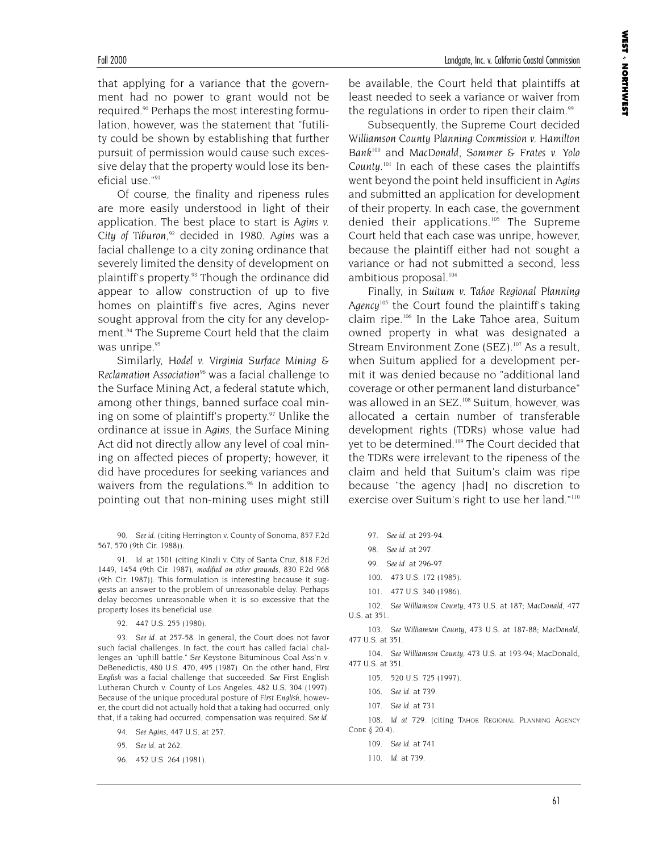that applying for a variance that the government had no power to grant would not be required.<sup>90</sup> Perhaps the most interesting formulation, however, was the statement that "futility could be shown by establishing that further pursuit of permission would cause such excessive delay that the property would lose its beneficial use."91

Of course, the finality and ripeness rules are more easily understood in light of their application. The best place to start is *Agins v. City of Tiburon*, <sup>92</sup> decided in 1980. *Agins* was a facial challenge to a city zoning ordinance that severely limited the density of development on plaintiff's property.<sup>93</sup> Though the ordinance did appear to allow construction of up to five homes on plaintiff's five acres, Agins never sought approval from the city for any development.<sup>94</sup> The Supreme Court held that the claim was unripe.<sup>95</sup>

Similarly, *Hodel v. Virginia Surface Mining & Reclamation Association96* was a facial challenge to the Surface Mining Act, a federal statute which, among other things, banned surface coal mining on some of plaintiff's property.<sup>97</sup> Unlike the ordinance at issue in *Agins*, the Surface Mining Act did not directly allow any level of coal mining on affected pieces of property; however, it did have procedures for seeking variances and waivers from the regulations.<sup>98</sup> In addition to pointing out that non-mining uses might still

90. *See id*. (citing Herrington v. County of Sonoma, 857 F.2d 567, 570 (9th Cir. 1988)).

91. *Id*. at 1501 (citing Kinzli v. City of Santa Cruz, 818 F.2d 1449, 1454 (9th Cir. 1987), *modified on other grounds,* 830 F.2d 968 (9th Cir. 1987)). This formulation is interesting because it suggests an answer to the problem of unreasonable delay. Perhaps delay becomes unreasonable when it is so excessive that the property loses its beneficial use.

92. 447 U.S. 255 (1980).

93. *See id*. at 257-58. In general, the Court does not favor such facial challenges. In fact, the court has called facial challenges an "uphill battle." *See* Keystone Bituminous Coal Ass'n v. DeBenedictis, 480 U.S. 470, 495 (1987). On the other hand, *First English* was a facial challenge that succeeded. *See* First English Lutheran Church v. County of Los Angeles*,* 482 U.S. 304 (1997). Because of the unique procedural posture of *First English,* however, the court did not actually hold that a taking had occurred, only that, if a taking had occurred, compensation was required. *See id*.

- 94. *See Agins,* 447 U.S. at 257.
- 95. *See id*. at 262.
- 96. 452 U.S. 264 (1981).

be available, the Court held that plaintiffs at least needed to seek a variance or waiver from the regulations in order to ripen their claim.<sup>99</sup>

Subsequently, the Supreme Court decided *Williamson County Planning Commission v. Hamilton Bank100* and *MacDonald, Sommer & Frates v. Yolo County*. <sup>101</sup> In each of these cases the plaintiffs went beyond the point held insufficient in *Agins* and submitted an application for development of their property. In each case, the government denied their applications.<sup>105</sup> The Supreme Court held that each case was unripe, however, because the plaintiff either had not sought a variance or had not submitted a second, less ambitious proposal.<sup>104</sup>

Finally, in *Suitum v. Tahoe Regional Planning Agency105* the Court found the plaintiff's taking claim ripe.106 In the Lake Tahoe area, Suitum owned property in what was designated a Stream Environment Zone (SEZ).<sup>107</sup> As a result, when Suitum applied for a development permit it was denied because no "additional land coverage or other permanent land disturbance" was allowed in an SEZ.<sup>108</sup> Suitum, however, was allocated a certain number of transferable development rights (TDRs) whose value had yet to be determined.<sup>109</sup> The Court decided that the TDRs were irrelevant to the ripeness of the claim and held that Suitum's claim was ripe because "the agency [had] no discretion to exercise over Suitum's right to use her land."110

- 97. *See id*. at 293-94.
- 98. *See id*. at 297.
- 99. *See id*. at 296-97.
- 100. 473 U.S. 172 (1985).
- 101. 477 U.S. 340 (1986).

102. *See Williamson County,* 473 U.S. at 187; *MacDonald,* 477 U.S. at 351.

103. *See Williamson County*, 473 U.S. at 187-88; *MacDonald*, 477 U.S. at 351.

104. *See Williamson County,* 473 U.S. at 193-94; MacDonald, 477 U.S. at 351.

- 105. 520 U.S. 725 (1997).
- 106. *See id*. at 739.
- 107. *See id*. at 731.

108. *Id at 729*. (citing TAHOE REGIONAL PLANNING AGENCY CODE § 20.4).

- 109. *See id*. at 741.
- 110. *Id*. at 739.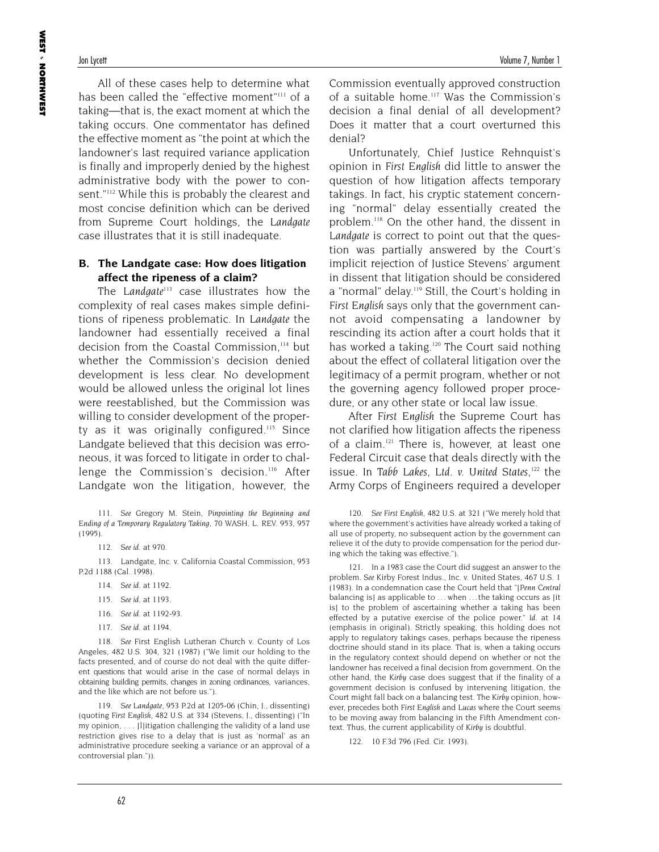All of these cases help to determine what has been called the "effective moment"<sup>111</sup> of a taking—that is, the exact moment at which the taking occurs. One commentator has defined the effective moment as "the point at which the landowner's last required variance application is finally and improperly denied by the highest administrative body with the power to consent."112 While this is probably the clearest and most concise definition which can be derived from Supreme Court holdings, the *Landgate* case illustrates that it is still inadequate.

#### **B. The Landgate case: How does litigation affect the ripeness of a claim?**

The *Landgate113* case illustrates how the complexity of real cases makes simple definitions of ripeness problematic. In *Landgate* the landowner had essentially received a final decision from the Coastal Commission,<sup>114</sup> but whether the Commission's decision denied development is less clear. No development would be allowed unless the original lot lines were reestablished, but the Commission was willing to consider development of the property as it was originally configured.<sup>115</sup> Since Landgate believed that this decision was erroneous, it was forced to litigate in order to challenge the Commission's decision.<sup>116</sup> After Landgate won the litigation, however, the

111. *See* Gregory M. Stein, *Pinpointing the Beginning and Ending of a Temporary Regulatory Taking,* 70 WASH. L. REV. 953, 957 (1995).

112. *See id*. at 970.

113. Landgate, Inc. v. California Coastal Commission, 953 P.2d 1188 (Cal. 1998).

- 114. *See id*. at 1192.
- 115. *See id*. at 1193.
- 116. *See id*. at 1192-93.
- 117. *See id*. at 1194.

118. *See* First English Lutheran Church v. County of Los Angeles*,* 482 U.S. 304, 321 (1987) ("We limit our holding to the facts presented, and of course do not deal with the quite different questions that would arise in the case of normal delays in obtaining building permits, changes in zoning ordinances, variances, and the like which are not before us.").

119. *See Landgate,* 953 P.2d at 1205-06 (Chin, J., dissenting) (quoting *First English,* 482 U.S. at 334 (Stevens, J., dissenting) ("In my opinion, . . . [l]itigation challenging the validity of a land use restriction gives rise to a delay that is just as 'normal' as an administrative procedure seeking a variance or an approval of a controversial plan.")).

Commission eventually approved construction of a suitable home.<sup>117</sup> Was the Commission's decision a final denial of all development? Does it matter that a court overturned this denial?

Unfortunately, Chief Justice Rehnquist's opinion in *First English* did little to answer the question of how litigation affects temporary takings. In fact, his cryptic statement concerning "normal" delay essentially created the problem.118 On the other hand, the dissent in *Landgate* is correct to point out that the question was partially answered by the Court's implicit rejection of Justice Stevens' argument in dissent that litigation should be considered a "normal" delay.<sup>119</sup> Still, the Court's holding in *First English* says only that the government cannot avoid compensating a landowner by rescinding its action after a court holds that it has worked a taking.<sup>120</sup> The Court said nothing about the effect of collateral litigation over the legitimacy of a permit program, whether or not the governing agency followed proper procedure, or any other state or local law issue.

After *First English* the Supreme Court has not clarified how litigation affects the ripeness of a claim.<sup>121</sup> There is, however, at least one Federal Circuit case that deals directly with the issue. In *Tabb Lakes, Ltd. v. United States*, <sup>122</sup> the Army Corps of Engineers required a developer

120. *See First English,* 482 U.S. at 321 ("We merely hold that where the government's activities have already worked a taking of all use of property, no subsequent action by the government can relieve it of the duty to provide compensation for the period during which the taking was effective.").

121. In a 1983 case the Court did suggest an answer to the problem. *See* Kirby Forest Indus., Inc. v. United States, 467 U.S. 1 (1983). In a condemnation case the Court held that "[*Penn Central* balancing is] as applicable to ... when ... the taking occurs as [it] is] to the problem of ascertaining whether a taking has been effected by a putative exercise of the police power." *Id*. at 14 (emphasis in original). Strictly speaking, this holding does not apply to regulatory takings cases, perhaps because the ripeness doctrine should stand in its place. That is, when a taking occurs in the regulatory context should depend on whether or not the landowner has received a final decision from government. On the other hand, the *Kirby* case does suggest that if the finality of a government decision is confused by intervening litigation, the Court might fall back on a balancing test. The *Kirby* opinion, however, precedes both *First English* and *Lucas* where the Court seems to be moving away from balancing in the Fifth Amendment context. Thus, the current applicability of *Kirby* is doubtful.

122. 10 F.3d 796 (Fed. Cir. 1993).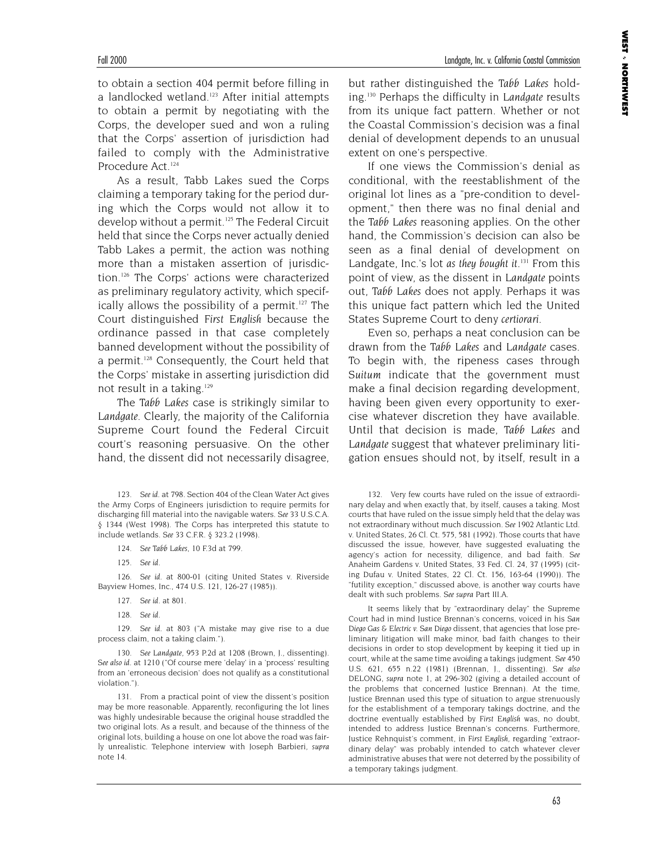to obtain a section 404 permit before filling in a landlocked wetland.<sup>123</sup> After initial attempts to obtain a permit by negotiating with the Corps, the developer sued and won a ruling that the Corps' assertion of jurisdiction had failed to comply with the Administrative Procedure Act.<sup>124</sup>

As a result, Tabb Lakes sued the Corps claiming a temporary taking for the period during which the Corps would not allow it to develop without a permit.<sup>125</sup> The Federal Circuit held that since the Corps never actually denied Tabb Lakes a permit, the action was nothing more than a mistaken assertion of jurisdiction.126 The Corps' actions were characterized as preliminary regulatory activity, which specifically allows the possibility of a permit.<sup>127</sup> The Court distinguished *First English* because the ordinance passed in that case completely banned development without the possibility of a permit.<sup>128</sup> Consequently, the Court held that the Corps' mistake in asserting jurisdiction did not result in a taking.<sup>129</sup>

The *Tabb Lakes* case is strikingly similar to *Landgate*. Clearly, the majority of the California Supreme Court found the Federal Circuit court's reasoning persuasive. On the other hand, the dissent did not necessarily disagree,

124. *See Tabb Lakes,* 10 F.3d at 799.

125. *See id*.

126. *See id*. at 800-01 (citing United States v. Riverside Bayview Homes, Inc., 474 U.S. 121, 126-27 (1985)).

- 127. *See id*. at 801.
- 128. *See id*.

129. *See id*. at 803 ("A mistake may give rise to a due process claim, not a taking claim.").

130. *See Landgate*, 953 P.2d at 1208 (Brown, J., dissenting). *See also id*. at 1210 ("Of course mere 'delay' in a 'process' resulting from an 'erroneous decision' does not qualify as a constitutional violation.").

131. From a practical point of view the dissent's position may be more reasonable. Apparently, reconfiguring the lot lines was highly undesirable because the original house straddled the two original lots. As a result, and because of the thinness of the original lots, building a house on one lot above the road was fairly unrealistic. Telephone interview with Joseph Barbieri, *supra* note 14.

but rather distinguished the *Tabb Lakes* holding.130 Perhaps the difficulty in *Landgate* results from its unique fact pattern. Whether or not the Coastal Commission's decision was a final denial of development depends to an unusual extent on one's perspective.

If one views the Commission's denial as conditional, with the reestablishment of the original lot lines as a "pre-condition to development," then there was no final denial and the *Tabb Lakes* reasoning applies. On the other hand, the Commission's decision can also be seen as a final denial of development on Landgate, Inc.'s lot *as they bought it*. <sup>131</sup> From this point of view, as the dissent in *Landgate* points out, *Tabb Lakes* does not apply. Perhaps it was this unique fact pattern which led the United States Supreme Court to deny *certiorari*.

Even so, perhaps a neat conclusion can be drawn from the *Tabb Lakes* and *Landgate* cases. To begin with, the ripeness cases through *Suitum* indicate that the government must make a final decision regarding development, having been given every opportunity to exercise whatever discretion they have available. Until that decision is made, *Tabb Lakes* and *Landgate* suggest that whatever preliminary litigation ensues should not, by itself, result in a

132. Very few courts have ruled on the issue of extraordinary delay and when exactly that, by itself, causes a taking. Most courts that have ruled on the issue simply held that the delay was not extraordinary without much discussion. *See* 1902 Atlantic Ltd. v. United States, 26 Cl. Ct. 575, 581 (1992). Those courts that have discussed the issue, however, have suggested evaluating the agency's action for necessity, diligence, and bad faith. *See* Anaheim Gardens v. United States, 33 Fed. Cl. 24, 37 (1995) (citing Dufau v. United States, 22 Cl. Ct. 156, 163-64 (1990)). The "futility exception," discussed above, is another way courts have dealt with such problems. *See supra* Part III.A.

It seems likely that by "extraordinary delay" the Supreme Court had in mind Justice Brennan's concerns, voiced in his *San Diego Gas & Electric v. San Diego* dissent, that agencies that lose preliminary litigation will make minor, bad faith changes to their decisions in order to stop development by keeping it tied up in court, while at the same time avo*id*ing a takings judgment. *See* 450 U.S. 621, 655 n.22 (1981) (Brennan, J., dissenting). *See also* DELONG, *supra* note 1, at 296-302 (giving a detailed account of the problems that concerned Justice Brennan). At the time, Justice Brennan used this type of situation to argue strenuously for the establishment of a temporary takings doctrine, and the doctrine eventually established by *First English* was, no doubt, intended to address Justice Brennan's concerns. Furthermore, Justice Rehnquist's comment, in *First English*, regarding "extraordinary delay" was probably intended to catch whatever clever administrative abuses that were not deterred by the possibility of a temporary takings judgment.

<sup>123.</sup> *See id*. at 798. Section 404 of the Clean Water Act gives the Army Corps of Engineers jurisdiction to require permits for discharging fill material into the navigable waters. *See* 33 U.S.C.A. § 1344 (West 1998). The Corps has interpreted this statute to include wetlands. *See* 33 C.F.R. § 323.2 (1998).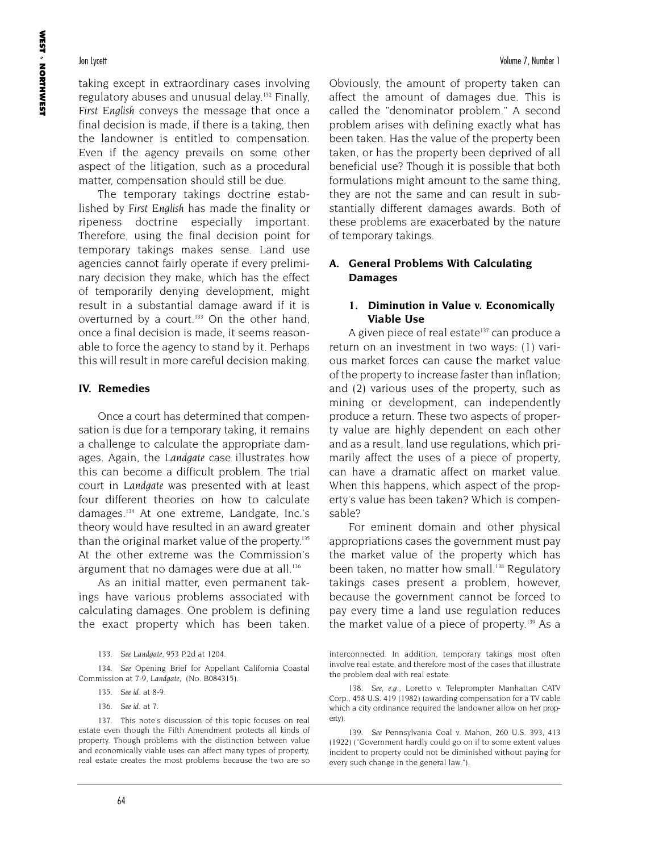taking except in extraordinary cases involving regulatory abuses and unusual delay.<sup>132</sup> Finally, *First English* conveys the message that once a final decision is made, if there is a taking, then the landowner is entitled to compensation. Even if the agency prevails on some other aspect of the litigation, such as a procedural matter, compensation should still be due.

The temporary takings doctrine established by *First English* has made the finality or ripeness doctrine especially important. Therefore, using the final decision point for temporary takings makes sense. Land use agencies cannot fairly operate if every preliminary decision they make, which has the effect of temporarily denying development, might result in a substantial damage award if it is overturned by a court.<sup>133</sup> On the other hand, once a final decision is made, it seems reasonable to force the agency to stand by it. Perhaps this will result in more careful decision making.

#### **IV. Remedies**

Once a court has determined that compensation is due for a temporary taking, it remains a challenge to calculate the appropriate damages. Again, the *Landgate* case illustrates how this can become a difficult problem. The trial court in *Landgate* was presented with at least four different theories on how to calculate damages.134 At one extreme, Landgate, Inc.'s theory would have resulted in an award greater than the original market value of the property.<sup>135</sup> At the other extreme was the Commission's argument that no damages were due at all.<sup>136</sup>

As an initial matter, even permanent takings have various problems associated with calculating damages. One problem is defining the exact property which has been taken.

134. *See* Opening Brief for Appellant California Coastal Commission at 7-9, *Landgate,* (No. B084315).

Obviously, the amount of property taken can affect the amount of damages due. This is called the "denominator problem." A second problem arises with defining exactly what has been taken. Has the value of the property been taken, or has the property been deprived of all beneficial use? Though it is possible that both formulations might amount to the same thing, they are not the same and can result in substantially different damages awards. Both of these problems are exacerbated by the nature of temporary takings.

### **A. General Problems With Calculating Damages**

#### **1. Diminution in Value v. Economically Viable Use**

A given piece of real estate $137$  can produce a return on an investment in two ways: (1) various market forces can cause the market value of the property to increase faster than inflation; and (2) various uses of the property, such as mining or development, can independently produce a return. These two aspects of property value are highly dependent on each other and as a result, land use regulations, which primarily affect the uses of a piece of property, can have a dramatic affect on market value. When this happens, which aspect of the property's value has been taken? Which is compensable?

For eminent domain and other physical appropriations cases the government must pay the market value of the property which has been taken, no matter how small.<sup>138</sup> Regulatory takings cases present a problem, however, because the government cannot be forced to pay every time a land use regulation reduces the market value of a piece of property.<sup>139</sup> As a

<sup>133.</sup> *See Landgate,* 953 P.2d at 1204.

<sup>135.</sup> *See id*. at 8-9.

<sup>136.</sup> *See id*. at 7.

<sup>137.</sup> This note's discussion of this topic focuses on real estate even though the Fifth Amendment protects all kinds of property. Though problems with the distinction between value and economically viable uses can affect many types of property, real estate creates the most problems because the two are so

interconnected. In addition, temporary takings most often involve real estate, and therefore most of the cases that illustrate the problem deal with real estate.

<sup>138.</sup> *See*, *e.g.*, Loretto v. Teleprompter Manhattan CATV Corp., 458 U.S. 419 (1982) (awarding compensation for a TV cable which a city ordinance required the landowner allow on her property).

<sup>139.</sup> *See* Pennsylvania Coal v. Mahon, 260 U.S. 393, 413 (1922) ("Government hardly could go on if to some extent values incident to property could not be diminished without paying for every such change in the general law.").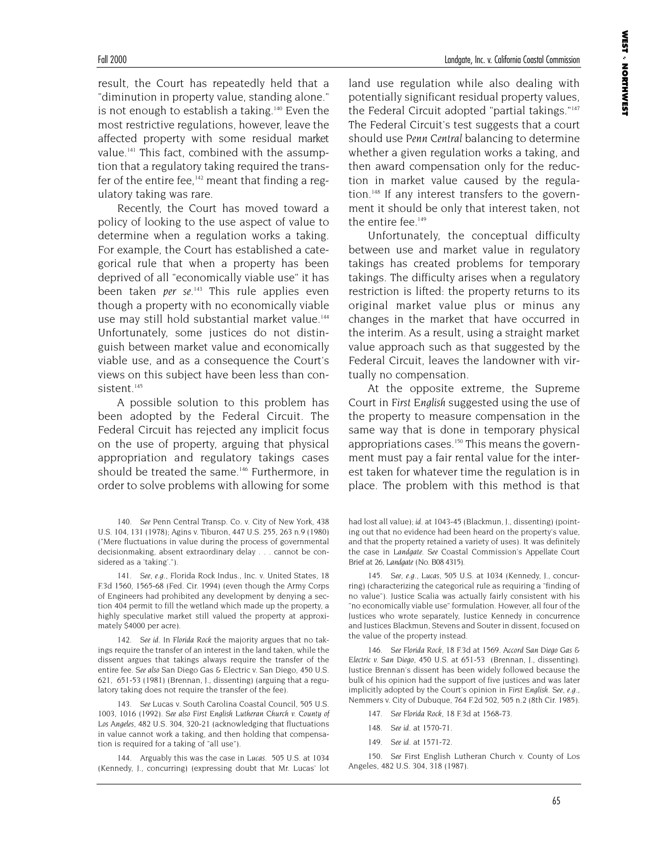**WEST**  NORTHWEST

result, the Court has repeatedly held that a "diminution in property value, standing alone." is not enough to establish a taking.140 Even the most restrictive regulations, however, leave the affected property with some residual market value.<sup>141</sup> This fact, combined with the assumption that a regulatory taking required the transfer of the entire fee, $142$  meant that finding a regulatory taking was rare.

Recently, the Court has moved toward a policy of looking to the use aspect of value to determine when a regulation works a taking. For example, the Court has established a categorical rule that when a property has been deprived of all "economically viable use" it has been taken *per se*. <sup>143</sup> This rule applies even though a property with no economically viable use may still hold substantial market value.<sup>144</sup> Unfortunately, some justices do not distinguish between market value and economically viable use, and as a consequence the Court's views on this subject have been less than consistent.<sup>145</sup>

A possible solution to this problem has been adopted by the Federal Circuit. The Federal Circuit has rejected any implicit focus on the use of property, arguing that physical appropriation and regulatory takings cases should be treated the same.<sup>146</sup> Furthermore, in order to solve problems with allowing for some

land use regulation while also dealing with potentially significant residual property values, the Federal Circuit adopted "partial takings."147 The Federal Circuit's test suggests that a court should use *Penn Central* balancing to determine whether a given regulation works a taking, and then award compensation only for the reduction in market value caused by the regulation.<sup>148</sup> If any interest transfers to the government it should be only that interest taken, not the entire fee.<sup>149</sup>

Unfortunately, the conceptual difficulty between use and market value in regulatory takings has created problems for temporary takings. The difficulty arises when a regulatory restriction is lifted: the property returns to its original market value plus or minus any changes in the market that have occurred in the interim. As a result, using a straight market value approach such as that suggested by the Federal Circuit, leaves the landowner with virtually no compensation.

At the opposite extreme, the Supreme Court in *First English* suggested using the use of the property to measure compensation in the same way that is done in temporary physical appropriations cases.<sup>150</sup> This means the government must pay a fair rental value for the interest taken for whatever time the regulation is in place. The problem with this method is that

146. *See Florida Rock*, 18 F.3d at 1569. *Accord San Diego Gas & Electric v. San Diego,* 450 U.S. at 651-53 (Brennan, J., dissenting). Justice Brennan's dissent has been widely followed because the bulk of his opinion had the support of five justices and was later implicitly adopted by the Court's opinion in *First English*. *See*, *e.g.*, Nemmers v. City of Dubuque, 764 F.2d 502, 505 n.2 (8th Cir. 1985).

147. *See Florida Rock,* 18 F.3d at 1568-73.

- 148. *See id*. at 1570-71.
- 149. *See id*. at 1571-72.

150. *See* First English Lutheran Church v. County of Los Angeles, 482 U.S. 304, 318 (1987).

<sup>140.</sup> *See* Penn Central Transp. Co. v. City of New York, 438 U.S. 104, 131 (1978); Agins v. Tiburon, 447 U.S. 255, 263 n.9 (1980) ("Mere fluctuations in value during the process of governmental decisionmaking, absent extraordinary delay . . . cannot be considered as a 'taking'.").

<sup>141.</sup> *See*, *e.g.*, Florida Rock Indus., Inc. v. United States, 18 F.3d 1560, 1565-68 (Fed. Cir. 1994) (even though the Army Corps of Engineers had prohibited any development by denying a section 404 permit to fill the wetland which made up the property, a highly speculative market still valued the property at approximately \$4000 per acre).

<sup>142.</sup> *See id*. In *Florida Rock* the majority argues that no takings require the transfer of an interest in the land taken, while the dissent argues that takings always require the transfer of the entire fee. *See also* San Diego Gas & Electric v. San Diego, 450 U.S. 621, 651-53 (1981) (Brennan, J., dissenting) (arguing that a regulatory taking does not require the transfer of the fee).

<sup>143.</sup> *See* Lucas v. South Carolina Coastal Council, 505 U.S. 1003, 1016 (1992). *See also First English Lutheran Church v. County of Los Angeles*, 482 U.S. 304, 320-21 (acknowledging that fluctuations in value cannot work a taking, and then holding that compensation is required for a taking of "all use").

<sup>144.</sup> Arguably this was the case in *Lucas*. 505 U.S. at 1034 (Kennedy, J., concurring) (expressing doubt that Mr. Lucas' lot

had lost all value); *id*. at 1043-45 (Blackmun, J., dissenting) (pointing out that no evidence had been heard on the property's value, and that the property retained a variety of uses). It was definitely the case in *Landgate*. *See* Coastal Commission's Appellate Court Brief at 26, *Landgate* (No. B08 4315).

<sup>145.</sup> *See*, *e.g.*, *Lucas,* 505 U.S. at 1034 (Kennedy, J., concurring) (characterizing the categorical rule as requiring a "finding of no value"). Justice Scalia was actually fairly consistent with his "no economically viable use" formulation. However, all four of the Justices who wrote separately, Justice Kennedy in concurrence and Justices Blackmun, Stevens and Souter in dissent, focused on the value of the property instead.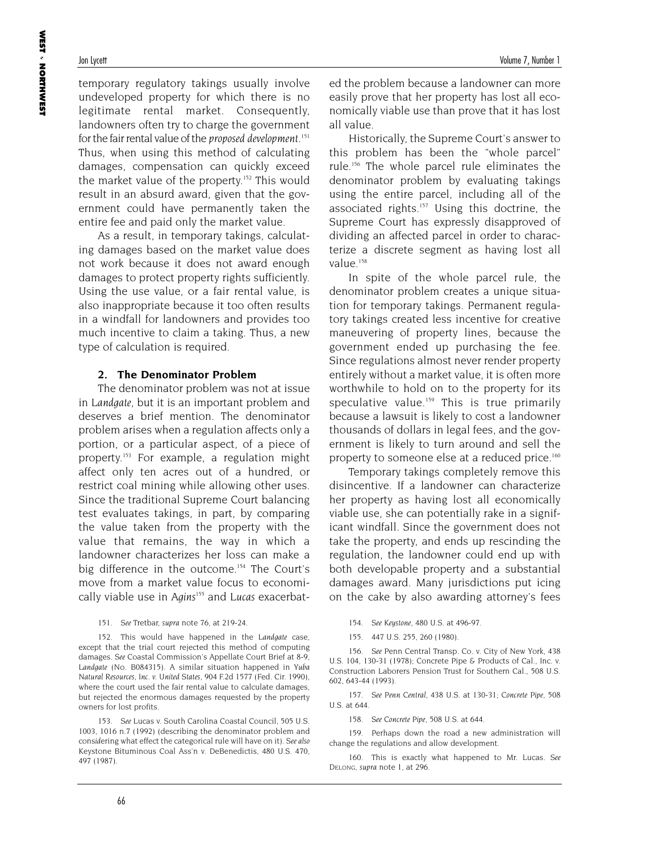temporary regulatory takings usually involve undeveloped property for which there is no legitimate rental market. Consequently, landowners often try to charge the government for the fair rental value of the *proposed development*. 151 Thus, when using this method of calculating damages, compensation can quickly exceed the market value of the property.<sup>152</sup> This would result in an absurd award, given that the government could have permanently taken the entire fee and paid only the market value.

As a result, in temporary takings, calculating damages based on the market value does not work because it does not award enough damages to protect property rights sufficiently. Using the use value, or a fair rental value, is also inappropriate because it too often results in a windfall for landowners and provides too much incentive to claim a taking. Thus, a new type of calculation is required.

#### **2. The Denominator Problem**

The denominator problem was not at issue in *Landgate*, but it is an important problem and deserves a brief mention. The denominator problem arises when a regulation affects only a portion, or a particular aspect, of a piece of property.153 For example, a regulation might affect only ten acres out of a hundred, or restrict coal mining while allowing other uses. Since the traditional Supreme Court balancing test evaluates takings, in part, by comparing the value taken from the property with the value that remains, the way in which a landowner characterizes her loss can make a big difference in the outcome.<sup>154</sup> The Court's move from a market value focus to economically viable use in *Agins155* and *Lucas* exacerbat-

152. This would have happened in the *Landgate* case, except that the trial court rejected this method of computing damages. *See* Coastal Commission's Appellate Court Brief at 8-9, *Landgate* (No. B084315). A similar situation happened in *Yuba Natural Resources, Inc. v. United States*, 904 F.2d 1577 (Fed. Cir. 1990), where the court used the fair rental value to calculate damages, but rejected the enormous damages requested by the property owners for lost profits.

153. *See* Lucas v. South Carolina Coastal Council*,* 505 U.S. 1003, 1016 n.7 (1992) (describing the denominator problem and cons*id*ering what effect the categorical rule will have on it). *See also* Keystone Bituminous Coal Ass'n v. DeBenedictis, 480 U.S. 470, 497 (1987).

ed the problem because a landowner can more easily prove that her property has lost all economically viable use than prove that it has lost all value.

Historically, the Supreme Court's answer to this problem has been the "whole parcel" rule.156 The whole parcel rule eliminates the denominator problem by evaluating takings using the entire parcel, including all of the associated rights.<sup>157</sup> Using this doctrine, the Supreme Court has expressly disapproved of dividing an affected parcel in order to characterize a discrete segment as having lost all value.<sup>158</sup>

In spite of the whole parcel rule, the denominator problem creates a unique situation for temporary takings. Permanent regulatory takings created less incentive for creative maneuvering of property lines, because the government ended up purchasing the fee. Since regulations almost never render property entirely without a market value, it is often more worthwhile to hold on to the property for its speculative value.<sup>159</sup> This is true primarily because a lawsuit is likely to cost a landowner thousands of dollars in legal fees, and the government is likely to turn around and sell the property to someone else at a reduced price.<sup>160</sup>

Temporary takings completely remove this disincentive. If a landowner can characterize her property as having lost all economically viable use, she can potentially rake in a significant windfall. Since the government does not take the property, and ends up rescinding the regulation, the landowner could end up with both developable property and a substantial damages award. Many jurisdictions put icing on the cake by also awarding attorney's fees

154. *See Keystone,* 480 U.S. at 496-97.

155. 447 U.S. 255, 260 (1980).

156. *See* Penn Central Transp. Co. v. City of New York, 438 U.S. 104, 130-31 (1978); Concrete Pipe & Products of Cal., Inc. v. Construction Laborers Pension Trust for Southern Cal., 508 U.S. 602, 643-44 (1993).

157. *See Penn Central,* 438 U.S. at 130-31; *Concrete Pipe,* 508 U.S. at 644.

158. *See Concrete Pipe,* 508 U.S. at 644.

159. Perhaps down the road a new administration will change the regulations and allow development.

160. This is exactly what happened to Mr. Lucas. *See* DELONG, *supra* note 1, at 296.

<sup>151.</sup> *See* Tretbar, *supra* note 76, at 219-24.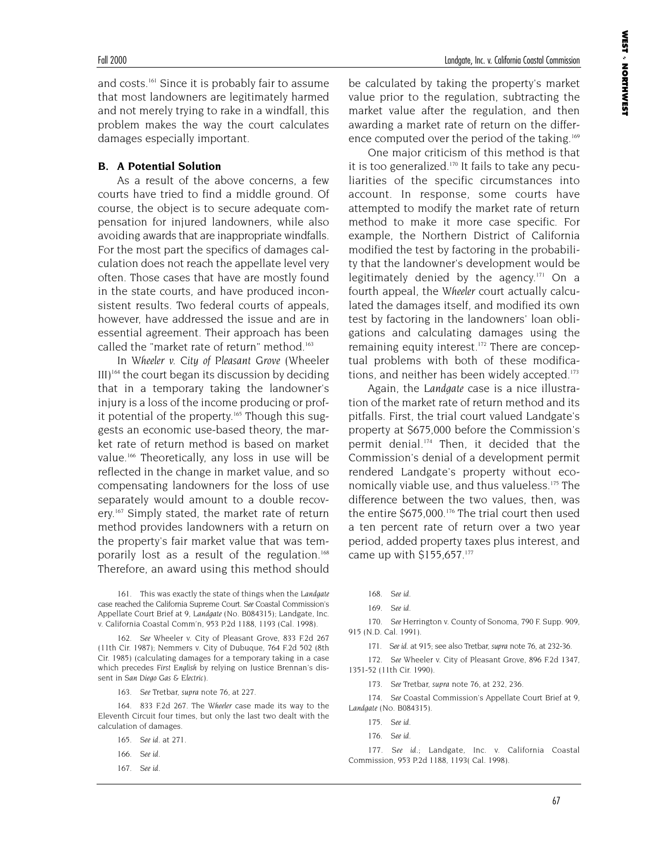and costs.161 Since it is probably fair to assume that most landowners are legitimately harmed and not merely trying to rake in a windfall, this problem makes the way the court calculates damages especially important.

#### **B. A Potential Solution**

As a result of the above concerns, a few courts have tried to find a middle ground. Of course, the object is to secure adequate compensation for injured landowners, while also avoiding awards that are inappropriate windfalls. For the most part the specifics of damages calculation does not reach the appellate level very often. Those cases that have are mostly found in the state courts, and have produced inconsistent results. Two federal courts of appeals, however, have addressed the issue and are in essential agreement. Their approach has been called the "market rate of return" method.<sup>163</sup>

In *Wheeler v. City of Pleasant Grove* (Wheeler  $III$ <sup>164</sup> the court began its discussion by deciding that in a temporary taking the landowner's injury is a loss of the income producing or profit potential of the property.<sup>165</sup> Though this suggests an economic use-based theory, the market rate of return method is based on market value.<sup>166</sup> Theoretically, any loss in use will be reflected in the change in market value, and so compensating landowners for the loss of use separately would amount to a double recovery.<sup>167</sup> Simply stated, the market rate of return method provides landowners with a return on the property's fair market value that was temporarily lost as a result of the regulation.<sup>168</sup> Therefore, an award using this method should

161. This was exactly the state of things when the *Landgate* case reached the California Supreme Court. *See* Coastal Commission's Appellate Court Brief at 9, *Landgate* (No. B084315); Landgate, Inc. v. California Coastal Comm'n*,* 953 P.2d 1188, 1193 (Cal. 1998).

162. *See* Wheeler v. City of Pleasant Grove, 833 F.2d 267 (11th Cir. 1987); Nemmers v. City of Dubuque, 764 F.2d 502 (8th Cir. 1985) (calculating damages for a temporary taking in a case which precedes *First English* by relying on Justice Brennan's dissent in *San Diego Gas & Electric*).

163. *See* Tretbar, *supra* note 76, at 227.

164. 833 F.2d 267. The *Wheeler* case made its way to the Eleventh Circuit four times, but only the last two dealt with the calculation of damages.

- 165. *See id*. at 271.
- 166. *See id*.
- 167. *See id*.

be calculated by taking the property's market value prior to the regulation, subtracting the market value after the regulation, and then awarding a market rate of return on the difference computed over the period of the taking.<sup>169</sup>

One major criticism of this method is that it is too generalized. $170$  It fails to take any peculiarities of the specific circumstances into account. In response, some courts have attempted to modify the market rate of return method to make it more case specific. For example, the Northern District of California modified the test by factoring in the probability that the landowner's development would be legitimately denied by the agency. $171$  On a fourth appeal, the *Wheeler* court actually calculated the damages itself, and modified its own test by factoring in the landowners' loan obligations and calculating damages using the remaining equity interest.172 There are conceptual problems with both of these modifications, and neither has been widely accepted.<sup>173</sup>

Again, the *Landgate* case is a nice illustration of the market rate of return method and its pitfalls. First, the trial court valued Landgate's property at \$675,000 before the Commission's permit denial.<sup>174</sup> Then, it decided that the Commission's denial of a development permit rendered Landgate's property without economically viable use, and thus valueless.175 The difference between the two values, then, was the entire \$675,000.<sup>176</sup> The trial court then used a ten percent rate of return over a two year period, added property taxes plus interest, and came up with \$155,657.<sup>177</sup>

- 168. *See id*.
- 169. *See id*.

170. *See* Herrington v. County of Sonoma, 790 F. Supp. 909, 915 (N.D. Cal. 1991).

171. *See id*. at 915; see also Tretbar, *supra* note 76, at 232-36.

172. *See* Wheeler v. City of Pleasant Grove, 896 F.2d 1347, 1351-52 (11th Cir. 1990).

173. *See* Tretbar, *supra* note 76, at 232, 236.

174. *See* Coastal Commission's Appellate Court Brief at 9, *Landgate* (No. B084315).

176. *See id*.

177. *See id*.; Landgate, Inc. v. California Coastal Commission, 953 P.2d 1188, 1193( Cal. 1998).

<sup>175.</sup> *See id*.